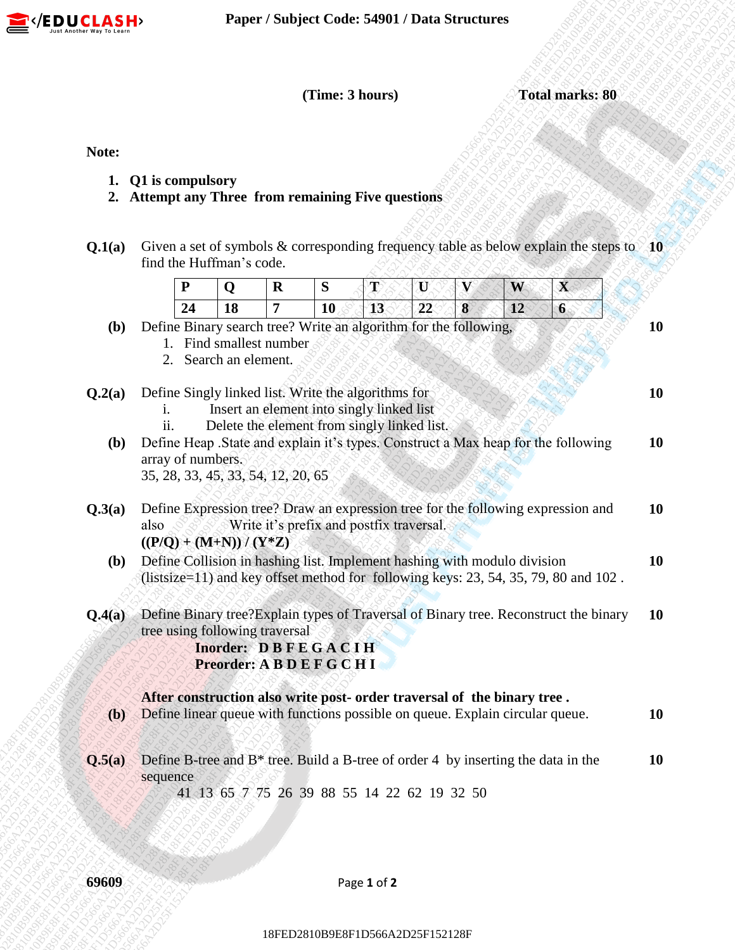

- **1. Q1 is compulsory**
- **2. Attempt any Three from remaining Five questions**
- **Q.1(a)** Given a set of symbols & corresponding frequency table as below explain the steps to **10** find the Huffman's code.

|              |                                                                                                                                                  |                                                                                                                                                                              |                               |         | (Time: 3 hours)                          |         |   | Given a set of symbols $&$ corresponding frequency table as below explain the steps to 10<br>W<br>12<br>Define Expression tree? Draw an expression tree for the following expression and<br>Define Collision in hashing list. Implement hashing with modulo division<br>(listsize=11) and key offset method for following keys: 23, 54, 35, 79, 80 and 102. | <b>Total marks: 80</b> |  |  |
|--------------|--------------------------------------------------------------------------------------------------------------------------------------------------|------------------------------------------------------------------------------------------------------------------------------------------------------------------------------|-------------------------------|---------|------------------------------------------|---------|---|-------------------------------------------------------------------------------------------------------------------------------------------------------------------------------------------------------------------------------------------------------------------------------------------------------------------------------------------------------------|------------------------|--|--|
| Note:        |                                                                                                                                                  |                                                                                                                                                                              |                               |         |                                          |         |   |                                                                                                                                                                                                                                                                                                                                                             |                        |  |  |
| 1.           | Q1 is compulsory<br>2. Attempt any Three from remaining Five questions                                                                           |                                                                                                                                                                              |                               |         |                                          |         |   |                                                                                                                                                                                                                                                                                                                                                             |                        |  |  |
| Q.1(a)       | find the Huffman's code.                                                                                                                         |                                                                                                                                                                              |                               |         |                                          |         |   |                                                                                                                                                                                                                                                                                                                                                             |                        |  |  |
|              | P<br>24                                                                                                                                          | Q<br>18                                                                                                                                                                      | $\mathbf R$<br>$\overline{7}$ | S<br>10 | T<br>13                                  | U<br>22 | 8 |                                                                                                                                                                                                                                                                                                                                                             | $\mathbf X$<br>$6 \n$  |  |  |
| <b>(b)</b>   | Define Binary search tree? Write an algorithm for the following,                                                                                 | 1. Find smallest number<br>2. Search an element.                                                                                                                             |                               |         |                                          |         |   |                                                                                                                                                                                                                                                                                                                                                             |                        |  |  |
| Q.2(a)       |                                                                                                                                                  | Define Singly linked list. Write the algorithms for<br>Insert an element into singly linked list<br>Delete the element from singly linked list.<br>ii.                       |                               |         |                                          |         |   |                                                                                                                                                                                                                                                                                                                                                             |                        |  |  |
|              | (b) Define Heap .State and explain it's types. Construct a Max heap for the following<br>array of numbers.<br>35, 28, 33, 45, 33, 54, 12, 20, 65 |                                                                                                                                                                              |                               |         |                                          |         |   |                                                                                                                                                                                                                                                                                                                                                             |                        |  |  |
| Q.3(a)       | also<br>$((P/Q) + (M+N))/ (Y^*Z)$                                                                                                                |                                                                                                                                                                              |                               |         | Write it's prefix and postfix traversal. |         |   |                                                                                                                                                                                                                                                                                                                                                             |                        |  |  |
| ( <b>b</b> ) |                                                                                                                                                  |                                                                                                                                                                              |                               |         |                                          |         |   |                                                                                                                                                                                                                                                                                                                                                             |                        |  |  |
| Q.4(a)       |                                                                                                                                                  | Define Binary tree? Explain types of Traversal of Binary tree. Reconstruct the binary<br>tree using following traversal<br>Inorder: DBFEGACIH<br>Preorder: A B D E F G C H I |                               |         |                                          |         |   |                                                                                                                                                                                                                                                                                                                                                             |                        |  |  |
| (b)          |                                                                                                                                                  | After construction also write post- order traversal of the binary tree.<br>Define linear queue with functions possible on queue. Explain circular queue.                     |                               |         |                                          |         |   |                                                                                                                                                                                                                                                                                                                                                             |                        |  |  |
| Q.5(a)       | Define B-tree and $B^*$ tree. Build a B-tree of order 4 by inserting the data in the<br>sequence<br>41 13 65 7 75 26 39 88 55 14 22 62 19 32 50  |                                                                                                                                                                              |                               |         |                                          |         |   |                                                                                                                                                                                                                                                                                                                                                             |                        |  |  |
|              |                                                                                                                                                  |                                                                                                                                                                              |                               |         |                                          |         |   |                                                                                                                                                                                                                                                                                                                                                             |                        |  |  |
| 69609        | Page 1 of 2                                                                                                                                      |                                                                                                                                                                              |                               |         |                                          |         |   |                                                                                                                                                                                                                                                                                                                                                             |                        |  |  |
|              |                                                                                                                                                  |                                                                                                                                                                              |                               |         | 18FED2810B9E8F1D566A2D25F152128F         |         |   |                                                                                                                                                                                                                                                                                                                                                             |                        |  |  |